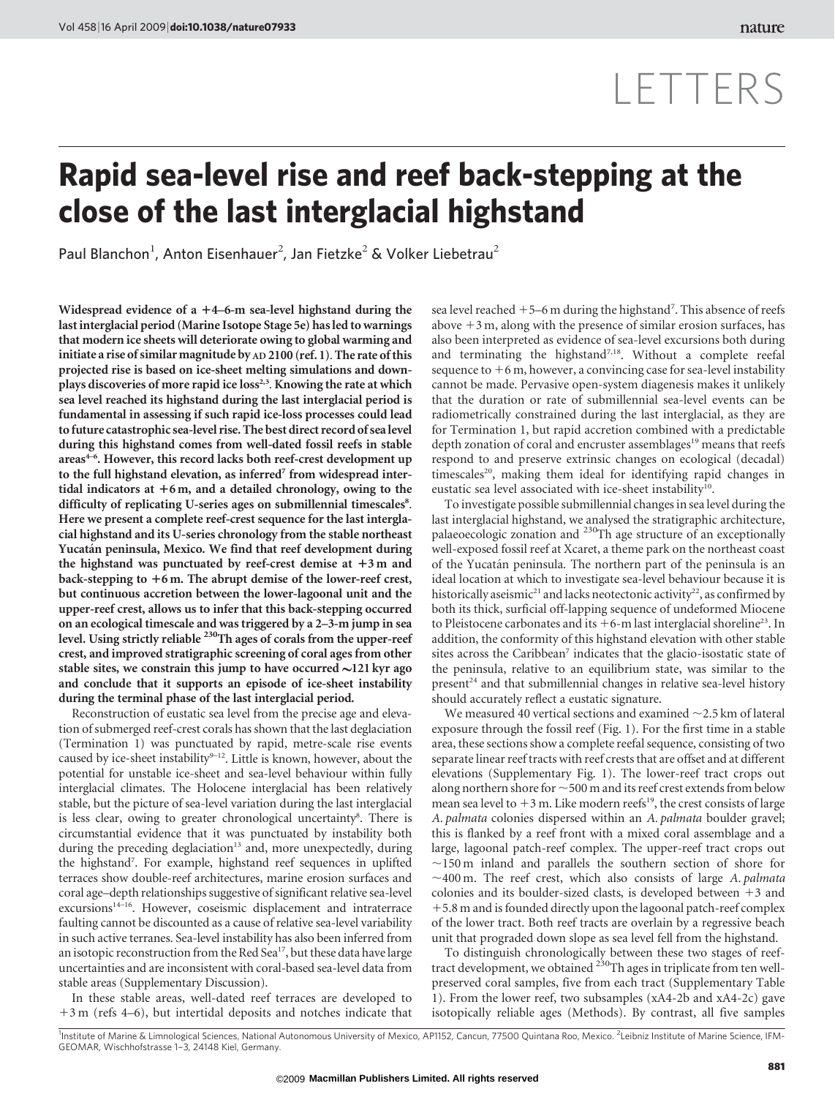# LETTERS

# Rapid sea-level rise and reef back-stepping at the close of the last interglacial highstand

Paul Blanchon<sup>1</sup>, Anton Eisenhauer<sup>2</sup>, Jan Fietzke<sup>2</sup> & Volker Liebetrau<sup>2</sup>

Widespread evidence of a  $+4$ –6-m sea-level highstand during the last interglacial period (Marine Isotope Stage 5e) has led to warnings that modern ice sheets will deteriorate owing to global warming and initiate a rise of similar magnitude by AD 2100 (ref. 1).The rate of this projected rise is based on ice-sheet melting simulations and downplays discoveries of more rapid ice loss<sup>2,3</sup>. Knowing the rate at which sea level reached its highstand during the last interglacial period is fundamental in assessing if such rapid ice-loss processes could lead to future catastrophic sea-level rise. The best direct record of sea level during this highstand comes from well-dated fossil reefs in stable areas<sup>4-6</sup>. However, this record lacks both reef-crest development up to the full highstand elevation, as inferred<sup>7</sup> from widespread intertidal indicators at  $+6$  m, and a detailed chronology, owing to the difficulty of replicating U-series ages on submillennial timescales<sup>8</sup>. Here we present a complete reef-crest sequence for the last interglacial highstand and its U-series chronology from the stable northeast Yucatán peninsula, Mexico. We find that reef development during the highstand was punctuated by reef-crest demise at  $+3$  m and back-stepping to  $+6$  m. The abrupt demise of the lower-reef crest, but continuous accretion between the lower-lagoonal unit and the upper-reef crest, allows us to infer that this back-stepping occurred on an ecological timescale and was triggered by a 2–3-m jump in sea level. Using strictly reliable <sup>230</sup>Th ages of corals from the upper-reef crest, and improved stratigraphic screening of coral ages from other stable sites, we constrain this jump to have occurred  $\sim$ 121 kyr ago and conclude that it supports an episode of ice-sheet instability during the terminal phase of the last interglacial period.

Reconstruction of eustatic sea level from the precise age and elevation of submerged reef-crest corals has shown that the last deglaciation (Termination 1) was punctuated by rapid, metre-scale rise events caused by ice-sheet instability<sup>9-12</sup>. Little is known, however, about the potential for unstable ice-sheet and sea-level behaviour within fully interglacial climates. The Holocene interglacial has been relatively stable, but the picture of sea-level variation during the last interglacial is less clear, owing to greater chronological uncertainty<sup>8</sup>. There is circumstantial evidence that it was punctuated by instability both during the preceding deglaciation<sup>13</sup> and, more unexpectedly, during the highstand<sup>7</sup>. For example, highstand reef sequences in uplifted terraces show double-reef architectures, marine erosion surfaces and coral age–depth relationships suggestive of significant relative sea-level excursions<sup>14-16</sup>. However, coseismic displacement and intraterrace faulting cannot be discounted as a cause of relative sea-level variability in such active terranes. Sea-level instability has also been inferred from an isotopic reconstruction from the Red Sea<sup>17</sup>, but these data have large uncertainties and are inconsistent with coral-based sea-level data from stable areas (Supplementary Discussion).

In these stable areas, well-dated reef terraces are developed to  $+3$  m (refs 4–6), but intertidal deposits and notches indicate that sea level reached  $+5-6$  m during the highstand<sup>7</sup>. This absence of reefs above  $+3$  m, along with the presence of similar erosion surfaces, has also been interpreted as evidence of sea-level excursions both during and terminating the highstand $7,18$ . Without a complete reefal sequence to  $+6$  m, however, a convincing case for sea-level instability cannot be made. Pervasive open-system diagenesis makes it unlikely that the duration or rate of submillennial sea-level events can be radiometrically constrained during the last interglacial, as they are for Termination 1, but rapid accretion combined with a predictable depth zonation of coral and encruster assemblages<sup>19</sup> means that reefs respond to and preserve extrinsic changes on ecological (decadal) timescales<sup>20</sup>, making them ideal for identifying rapid changes in eustatic sea level associated with ice-sheet instability<sup>10</sup>.

To investigate possible submillennial changes in sea level during the last interglacial highstand, we analysed the stratigraphic architecture, palaeoecologic zonation and <sup>230</sup>Th age structure of an exceptionally well-exposed fossil reef at Xcaret, a theme park on the northeast coast of the Yucatán peninsula. The northern part of the peninsula is an ideal location at which to investigate sea-level behaviour because it is historically aseismic<sup>21</sup> and lacks neotectonic activity<sup>22</sup>, as confirmed by both its thick, surficial off-lapping sequence of undeformed Miocene to Pleistocene carbonates and its  $+6$ -m last interglacial shoreline<sup>23</sup>. In addition, the conformity of this highstand elevation with other stable sites across the Caribbean<sup>7</sup> indicates that the glacio-isostatic state of the peninsula, relative to an equilibrium state, was similar to the  $present<sup>24</sup>$  and that submillennial changes in relative sea-level history should accurately reflect a eustatic signature.

We measured 40 vertical sections and examined  $\sim$  2.5 km of lateral exposure through the fossil reef (Fig. 1). For the first time in a stable area, these sections show a complete reefal sequence, consisting of two separate linear reef tracts with reef crests that are offset and at different elevations (Supplementary Fig. 1). The lower-reef tract crops out along northern shore for  $\sim$  500 m and its reef crest extends from below mean sea level to  $+3$  m. Like modern reefs<sup>19</sup>, the crest consists of large A. palmata colonies dispersed within an A. palmata boulder gravel; this is flanked by a reef front with a mixed coral assemblage and a large, lagoonal patch-reef complex. The upper-reef tract crops out  $\sim$ 150 m inland and parallels the southern section of shore for  $\sim$ 400 m. The reef crest, which also consists of large A. palmata colonies and its boulder-sized clasts, is developed between  $+3$  and 15.8 m and is founded directly upon the lagoonal patch-reef complex of the lower tract. Both reef tracts are overlain by a regressive beach unit that prograded down slope as sea level fell from the highstand.

To distinguish chronologically between these two stages of reeftract development, we obtained <sup>230</sup>Th ages in triplicate from ten wellpreserved coral samples, five from each tract (Supplementary Table 1). From the lower reef, two subsamples (xA4-2b and xA4-2c) gave isotopically reliable ages (Methods). By contrast, all five samples

<sup>1</sup>Institute of Marine & Limnological Sciences, National Autonomous University of Mexico, AP1152, Cancun, 77500 Quintana Roo, Mexico. <sup>2</sup>Leibniz Institute of Marine Science, IFM-GEOMAR, Wischhofstrasse 1–3, 24148 Kiel, Germany.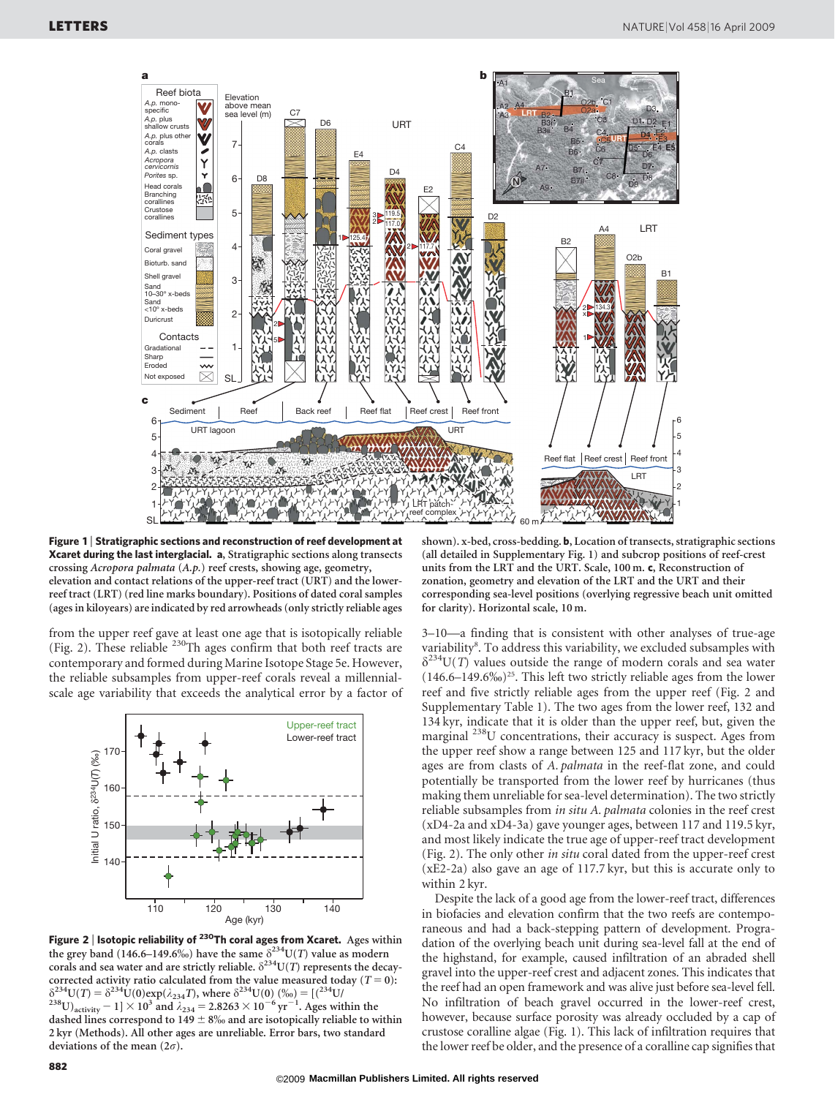

Figure 1 | Stratigraphic sections and reconstruction of reef development at Xcaret during the last interglacial. a, Stratigraphic sections along transects crossing Acropora palmata (A.p.) reef crests, showing age, geometry, elevation and contact relations of the upper-reef tract (URT) and the lowerreef tract (LRT) (red line marks boundary). Positions of dated coral samples

from the upper reef gave at least one age that is isotopically reliable (Fig. 2). These reliable  $^{230}$ Th ages confirm that both reef tracts are contemporary and formed during Marine Isotope Stage 5e. However, the reliable subsamples from upper-reef corals reveal a millennial-(ages in kiloyears) are indicated by red arrowheads (only strictly reliable ages

scale age variability that exceeds the analytical error by a factor of



Figure 2 | Isotopic reliability of  $^{230}$ Th coral ages from Xcaret. Ages within the grey band (146.6–149.6%) have the same  $\delta^{234}U(T)$  value as modern corals and sea water and are strictly reliable.  $\delta^{234}U(T)$  represents the decaycorrected activity ratio calculated from the value measured today (*T* = 0):<br> $\delta^{234}U(T) = \delta^{234}U(0) \exp(\lambda_{234}T)$ , where  $\delta^{234}U(0)$  (‰) = [(<sup>234</sup>U/  $\delta^{234}U(T) = \delta^{234}U(0) \exp(\lambda_{234}T)$ , where  $\delta^{234}U(0)$  (‰) = [(<sup>234</sup>U/<br><sup>238</sup>U)<sub>activity</sub> - 1] × 10<sup>3</sup> and  $\lambda_{234}$  = 2.8263 × 10<sup>-6</sup> yr<sup>-1</sup>. Ages within the

dashed lines correspond to 149  $\pm$  8% and are isotopically reliable to within 2 kyr (Methods). All other ages are unreliable. Error bars, two standard deviations of the mean  $(2\sigma)$ .

882

3–10—a finding that is consistent with other analyses of true-age variability<sup>8</sup>. To address this variability, we excluded subsamples with  $\delta^{234}U(T)$  values outside the range of modern corals and sea water  $(146.6-149.6\%)^{25}$ . This left two strictly reliable ages from the lower reef and five strictly reliable ages from the upper reef (Fig. 2 and Supplementary Table 1). The two ages from the lower reef, 132 and

134 kyr, indicate that it is older than the upper reef, but, given the marginal 238U concentrations, their accuracy is suspect. Ages from the upper reef show a range between 125 and 117 kyr, but the older ages are from clasts of A. palmata in the reef-flat zone, and could potentially be transported from the lower reef by hurricanes (thus making them unreliable for sea-level determination). The two strictly reliable subsamples from in situ A. palmata colonies in the reef crest (xD4-2a and xD4-3a) gave younger ages, between 117 and 119.5 kyr, and most likely indicate the true age of upper-reef tract development (Fig. 2). The only other *in situ* coral dated from the upper-reef crest (xE2-2a) also gave an age of 117.7 kyr, but this is accurate only to

within 2 kyr. Despite the lack of a good age from the lower-reef tract, differences in biofacies and elevation confirm that the two reefs are contemporaneous and had a back-stepping pattern of development. Progradation of the overlying beach unit during sea-level fall at the end of the highstand, for example, caused infiltration of an abraded shell gravel into the upper-reef crest and adjacent zones. This indicates that the reef had an open framework and was alive just before sea-level fell. No infiltration of beach gravel occurred in the lower-reef crest, however, because surface porosity was already occluded by a cap of crustose coralline algae (Fig. 1). This lack of infiltration requires that the lower reef be older, and the presence of a coralline cap signifies that

shown). x-bed, cross-bedding. b, Location of transects, stratigraphic sections (all detailed in Supplementary Fig. 1) and subcrop positions of reef-crest units from the LRT and the URT. Scale, 100 m. c, Reconstruction of zonation, geometry and elevation of the LRT and the URT and their corresponding sea-level positions (overlying regressive beach unit omitted for clarity). Horizontal scale, 10 m.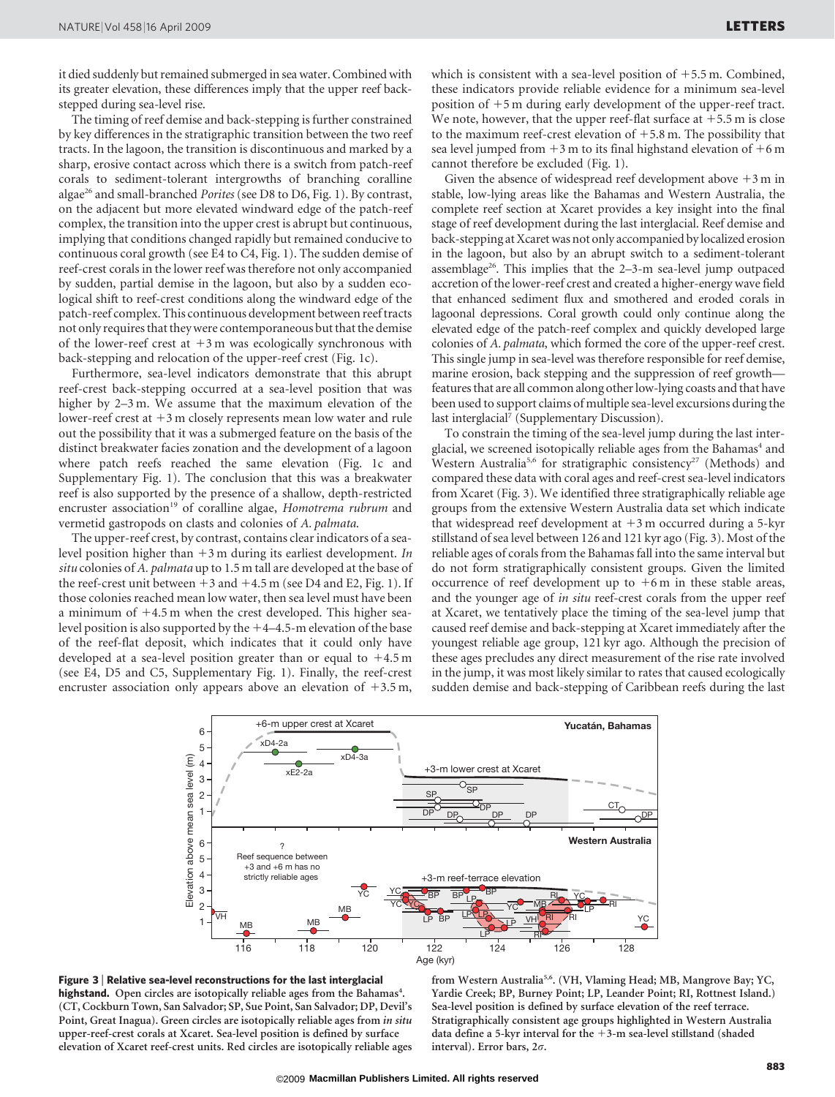it died suddenly but remained submerged in sea water. Combined with its greater elevation, these differences imply that the upper reef backstepped during sea-level rise.

The timing of reef demise and back-stepping is further constrained by key differences in the stratigraphic transition between the two reef tracts. In the lagoon, the transition is discontinuous and marked by a sharp, erosive contact across which there is a switch from patch-reef corals to sediment-tolerant intergrowths of branching coralline algae<sup>26</sup> and small-branched *Porites* (see D8 to D6, Fig. 1). By contrast, on the adjacent but more elevated windward edge of the patch-reef complex, the transition into the upper crest is abrupt but continuous, implying that conditions changed rapidly but remained conducive to continuous coral growth (see E4 to C4, Fig. 1). The sudden demise of reef-crest corals in the lower reef was therefore not only accompanied by sudden, partial demise in the lagoon, but also by a sudden ecological shift to reef-crest conditions along the windward edge of the patch-reef complex. This continuous development between reef tracts not only requires that they were contemporaneous but that the demise of the lower-reef crest at  $+3$  m was ecologically synchronous with back-stepping and relocation of the upper-reef crest (Fig. 1c).

Furthermore, sea-level indicators demonstrate that this abrupt reef-crest back-stepping occurred at a sea-level position that was higher by 2–3 m. We assume that the maximum elevation of the lower-reef crest at  $+3$  m closely represents mean low water and rule out the possibility that it was a submerged feature on the basis of the distinct breakwater facies zonation and the development of a lagoon where patch reefs reached the same elevation (Fig. 1c and Supplementary Fig. 1). The conclusion that this was a breakwater reef is also supported by the presence of a shallow, depth-restricted encruster association<sup>19</sup> of coralline algae, Homotrema rubrum and vermetid gastropods on clasts and colonies of A. palmata.

The upper-reef crest, by contrast, contains clear indicators of a sealevel position higher than  $+3$  m during its earliest development. In situ colonies of A. palmata up to 1.5 m tall are developed at the base of the reef-crest unit between  $+3$  and  $+4.5$  m (see D4 and E2, Fig. 1). If those colonies reached mean low water, then sea level must have been a minimum of  $+4.5$  m when the crest developed. This higher sealevel position is also supported by the  $+4-4.5$ -m elevation of the base of the reef-flat deposit, which indicates that it could only have developed at a sea-level position greater than or equal to  $+4.5$  m (see E4, D5 and C5, Supplementary Fig. 1). Finally, the reef-crest encruster association only appears above an elevation of  $+3.5$  m,

which is consistent with a sea-level position of  $+5.5$  m. Combined, these indicators provide reliable evidence for a minimum sea-level position of  $+5$  m during early development of the upper-reef tract. We note, however, that the upper reef-flat surface at  $+5.5$  m is close to the maximum reef-crest elevation of  $+5.8$  m. The possibility that sea level jumped from  $+3$  m to its final highstand elevation of  $+6$  m cannot therefore be excluded (Fig. 1).

Given the absence of widespread reef development above  $+3$  m in stable, low-lying areas like the Bahamas and Western Australia, the complete reef section at Xcaret provides a key insight into the final stage of reef development during the last interglacial. Reef demise and back-stepping at Xcaret was not only accompanied by localized erosion in the lagoon, but also by an abrupt switch to a sediment-tolerant assemblage<sup>26</sup>. This implies that the  $2-3-m$  sea-level jump outpaced accretion of the lower-reef crest and created a higher-energy wave field that enhanced sediment flux and smothered and eroded corals in lagoonal depressions. Coral growth could only continue along the elevated edge of the patch-reef complex and quickly developed large colonies of A. palmata, which formed the core of the upper-reef crest. This single jump in sea-level was therefore responsible for reef demise, marine erosion, back stepping and the suppression of reef growth features that are all common along other low-lying coasts and that have been used to support claims of multiple sea-level excursions during the last interglacial<sup>7</sup> (Supplementary Discussion).

To constrain the timing of the sea-level jump during the last interglacial, we screened isotopically reliable ages from the Bahamas<sup>4</sup> and Western Australia<sup>5,6</sup> for stratigraphic consistency<sup>27</sup> (Methods) and compared these data with coral ages and reef-crest sea-level indicators from Xcaret (Fig. 3). We identified three stratigraphically reliable age groups from the extensive Western Australia data set which indicate that widespread reef development at  $+3$  m occurred during a 5-kyr stillstand of sea level between 126 and 121 kyr ago (Fig. 3). Most of the reliable ages of corals from the Bahamas fall into the same interval but do not form stratigraphically consistent groups. Given the limited occurrence of reef development up to  $+6$  m in these stable areas, and the younger age of in situ reef-crest corals from the upper reef at Xcaret, we tentatively place the timing of the sea-level jump that caused reef demise and back-stepping at Xcaret immediately after the youngest reliable age group, 121 kyr ago. Although the precision of these ages precludes any direct measurement of the rise rate involved in the jump, it was most likely similar to rates that caused ecologically sudden demise and back-stepping of Caribbean reefs during the last





from Western Australia<sup>5,6</sup>. (VH, Vlaming Head; MB, Mangrove Bay; YC, Yardie Creek; BP, Burney Point; LP, Leander Point; RI, Rottnest Island.) Sea-level position is defined by surface elevation of the reef terrace. Stratigraphically consistent age groups highlighted in Western Australia data define a 5-kyr interval for the  $+3$ -m sea-level stillstand (shaded interval). Error bars,  $2\sigma$ .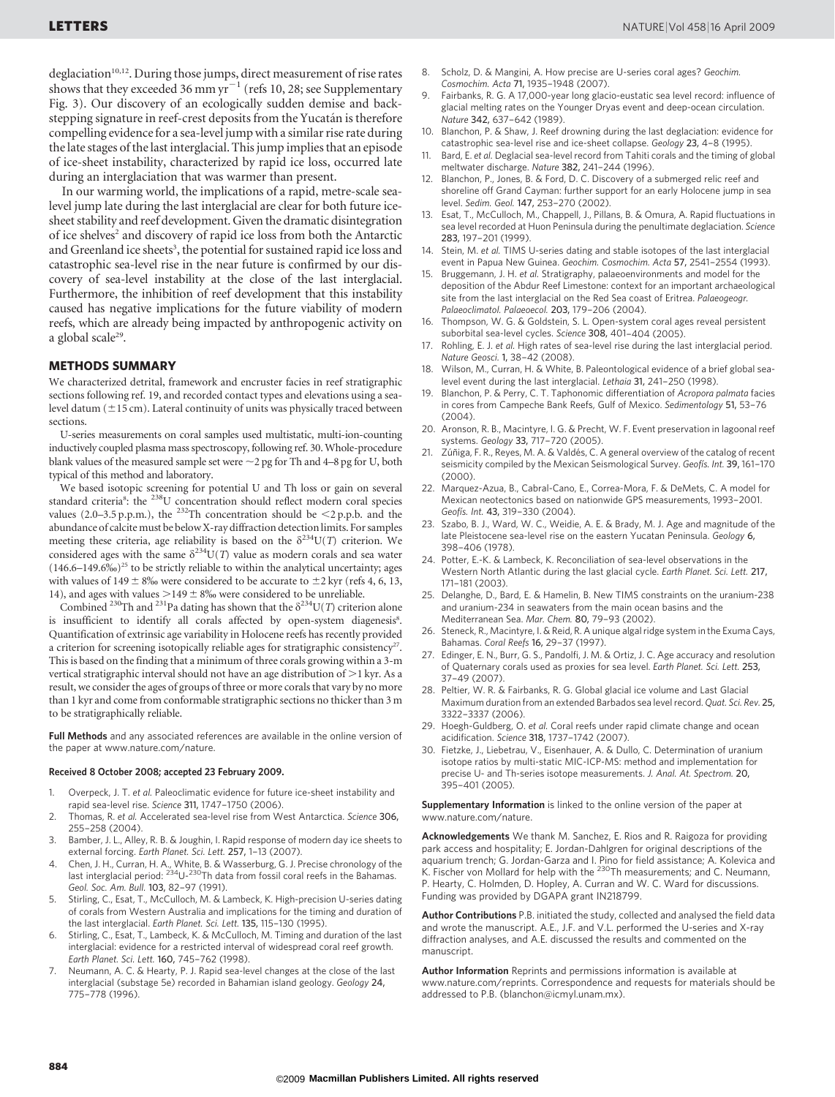$deelaciation<sup>10,12</sup>$ . During those jumps, direct measurement of rise rates shows that they exceeded  $36$  mm  $yr^{-1}$  (refs 10, 28; see Supplementary Fig. 3). Our discovery of an ecologically sudden demise and backstepping signature in reef-crest deposits from the Yucatán is therefore compelling evidence for a sea-level jump with a similar rise rate during the late stages of the last interglacial. This jump implies that an episode of ice-sheet instability, characterized by rapid ice loss, occurred late during an interglaciation that was warmer than present.

In our warming world, the implications of a rapid, metre-scale sealevel jump late during the last interglacial are clear for both future icesheet stability and reef development. Given the dramatic disintegration of ice shelves<sup>2</sup> and discovery of rapid ice loss from both the Antarctic and Greenland ice sheets<sup>3</sup>, the potential for sustained rapid ice loss and catastrophic sea-level rise in the near future is confirmed by our discovery of sea-level instability at the close of the last interglacial. Furthermore, the inhibition of reef development that this instability caused has negative implications for the future viability of modern reefs, which are already being impacted by anthropogenic activity on a global scale<sup>29</sup>.

## METHODS SUMMARY

We characterized detrital, framework and encruster facies in reef stratigraphic sections following ref. 19, and recorded contact types and elevations using a sealevel datum  $(\pm 15 \text{ cm})$ . Lateral continuity of units was physically traced between sections.

U-series measurements on coral samples used multistatic, multi-ion-counting inductively coupled plasma mass spectroscopy, following ref. 30. Whole-procedure blank values of the measured sample set were  $\sim$ 2 pg for Th and 4–8 pg for U, both typical of this method and laboratory.

We based isotopic screening for potential U and Th loss or gain on several standard criteria<sup>8</sup>: the <sup>238</sup>U concentration should reflect modern coral species values (2.0–3.5 p.p.m.), the <sup>232</sup>Th concentration should be  $\leq$ 2 p.p.b. and the abundance of calcite must be below X-ray diffraction detection limits. For samples meeting these criteria, age reliability is based on the  $\delta^{234}U(T)$  criterion. We considered ages with the same  $\delta^{234}U(T)$  value as modern corals and sea water (146.6–149.6%) <sup>25</sup> to be strictly reliable to within the analytical uncertainty; ages with values of 149  $\pm$  8% were considered to be accurate to  $\pm$ 2 kyr (refs 4, 6, 13, 14), and ages with values  $>$  149  $\pm$  8‰ were considered to be unreliable.

Combined <sup>230</sup>Th and <sup>231</sup>Pa dating has shown that the  $\delta^{234}U(T)$  criterion alone is insufficient to identify all corals affected by open-system diagenesis8. Quantification of extrinsic age variability in Holocene reefs has recently provided a criterion for screening isotopically reliable ages for stratigraphic consistency<sup>27</sup>. This is based on the finding that a minimum of three corals growing within a 3-m vertical stratigraphic interval should not have an age distribution of  $\mathord{>}1$  kyr. As a result, we consider the ages of groups of three or more corals that vary by no more than 1 kyr and come from conformable stratigraphic sections no thicker than 3 m to be stratigraphically reliable.

Full Methods and any associated references are available in the online version of the paper at<www.nature.com/nature>.

#### Received 8 October 2008; accepted 23 February 2009.

- Overpeck, J. T. et al. Paleoclimatic evidence for future ice-sheet instability and rapid sea-level rise. Science 311, 1747–1750 (2006).
- 2. Thomas, R. et al. Accelerated sea-level rise from West Antarctica. Science 306, 255–258 (2004).
- Bamber, J. L., Alley, R. B. & Joughin, I. Rapid response of modern day ice sheets to external forcing. Earth Planet. Sci. Lett. 257, 1–13 (2007).
- 4. Chen, J. H., Curran, H. A., White, B. & Wasserburg, G. J. Precise chronology of the last interglacial period: <sup>234</sup>U-<sup>230</sup>Th data from fossil coral reefs in the Bahamas. Geol. Soc. Am. Bull. 103, 82–97 (1991).
- Stirling, C., Esat, T., McCulloch, M. & Lambeck, K. High-precision U-series dating of corals from Western Australia and implications for the timing and duration of the last interglacial. Earth Planet. Sci. Lett. 135, 115–130 (1995).
- Stirling, C., Esat, T., Lambeck, K. & McCulloch, M. Timing and duration of the last interglacial: evidence for a restricted interval of widespread coral reef growth. Earth Planet. Sci. Lett. 160, 745–762 (1998).
- 7. Neumann, A. C. & Hearty, P. J. Rapid sea-level changes at the close of the last interglacial (substage 5e) recorded in Bahamian island geology. Geology 24, 775–778 (1996).
- 8. Scholz, D. & Mangini, A. How precise are U-series coral ages? Geochim. Cosmochim. Acta 71, 1935–1948 (2007).
- 9. Fairbanks, R. G. A 17,000-year long glacio-eustatic sea level record: influence of glacial melting rates on the Younger Dryas event and deep-ocean circulation. Nature 342, 637–642 (1989).
- 10. Blanchon, P. & Shaw, J. Reef drowning during the last deglaciation: evidence for catastrophic sea-level rise and ice-sheet collapse. Geology 23, 4–8 (1995).
- 11. Bard, E. et al. Deglacial sea-level record from Tahiti corals and the timing of global meltwater discharge. Nature 382, 241–244 (1996).
- Blanchon, P., Jones, B. & Ford, D. C. Discovery of a submerged relic reef and shoreline off Grand Cayman: further support for an early Holocene jump in sea level. Sedim. Geol. 147, 253–270 (2002).
- 13. Esat, T., McCulloch, M., Chappell, J., Pillans, B. & Omura, A. Rapid fluctuations in sea level recorded at Huon Peninsula during the penultimate deglaciation. Science 283, 197–201 (1999).
- 14. Stein, M. et al. TIMS U-series dating and stable isotopes of the last interglacial event in Papua New Guinea. Geochim. Cosmochim. Acta 57, 2541-2554 (1993).
- Bruggemann, J. H. et al. Stratigraphy, palaeoenvironments and model for the deposition of the Abdur Reef Limestone: context for an important archaeological site from the last interglacial on the Red Sea coast of Eritrea. Palaeogeogr. Palaeoclimatol. Palaeoecol. 203, 179–206 (2004).
- 16. Thompson, W. G. & Goldstein, S. L. Open-system coral ages reveal persistent suborbital sea-level cycles. Science 308, 401–404 (2005).
- 17. Rohling, E. J. et al. High rates of sea-level rise during the last interglacial period. Nature Geosci. 1, 38–42 (2008).
- Wilson, M., Curran, H. & White, B. Paleontological evidence of a brief global sealevel event during the last interglacial. Lethaia 31, 241–250 (1998).
- 19. Blanchon, P. & Perry, C. T. Taphonomic differentiation of Acropora palmata facies in cores from Campeche Bank Reefs, Gulf of Mexico. Sedimentology 51, 53–76  $(2004)$
- 20. Aronson, R. B., Macintyre, I. G. & Precht, W. F. Event preservation in lagoonal reef systems. Geology 33, 717-720 (2005).
- 21. Zúñiga, F. R., Reyes, M. A. & Valdés, C. A general overview of the catalog of recent seismicity compiled by the Mexican Seismological Survey. Geofís. Int. 39, 161-170 (2000).
- 22. Marquez-Azua, B., Cabral-Cano, E., Correa-Mora, F. & DeMets, C. A model for Mexican neotectonics based on nationwide GPS measurements, 1993–2001. Geofís. Int. 43, 319-330 (2004).
- Szabo, B. J., Ward, W. C., Weidie, A. E. & Brady, M. J. Age and magnitude of the late Pleistocene sea-level rise on the eastern Yucatan Peninsula. Geology 6, 398–406 (1978).
- 24. Potter, E.-K. & Lambeck, K. Reconciliation of sea-level observations in the Western North Atlantic during the last glacial cycle. Earth Planet. Sci. Lett. 217, 171–181 (2003).
- 25. Delanghe, D., Bard, E. & Hamelin, B. New TIMS constraints on the uranium-238 and uranium-234 in seawaters from the main ocean basins and the Mediterranean Sea. Mar. Chem. 80, 79–93 (2002).
- Steneck, R., Macintyre, I. & Reid, R. A unique algal ridge system in the Exuma Cays, Bahamas. Coral Reefs 16, 29–37 (1997).
- 27. Edinger, E. N., Burr, G. S., Pandolfi, J. M. & Ortiz, J. C. Age accuracy and resolution of Quaternary corals used as proxies for sea level. Earth Planet. Sci. Lett. 253, 37–49 (2007).
- 28. Peltier, W. R. & Fairbanks, R. G. Global glacial ice volume and Last Glacial Maximum duration from an extended Barbados sea level record. Quat. Sci. Rev. 25, 3322–3337 (2006).
- 29. Hoegh-Guldberg, O. et al. Coral reefs under rapid climate change and ocean acidification. Science 318, 1737–1742 (2007).
- 30. Fietzke, J., Liebetrau, V., Eisenhauer, A. & Dullo, C. Determination of uranium isotope ratios by multi-static MIC-ICP-MS: method and implementation for precise U- and Th-series isotope measurements. J. Anal. At. Spectrom. 20, 395–401 (2005).

Supplementary Information is linked to the online version of the paper at <www.nature.com/nature>.

Acknowledgements We thank M. Sanchez, E. Rios and R. Raigoza for providing park access and hospitality; E. Jordan-Dahlgren for original descriptions of the aquarium trench; G. Jordan-Garza and I. Pino for field assistance; A. Kolevica and K. Fischer von Mollard for help with the <sup>230</sup>Th measurements; and C. Neumann, P. Hearty, C. Holmden, D. Hopley, A. Curran and W. C. Ward for discussions. Funding was provided by DGAPA grant IN218799.

Author Contributions P.B. initiated the study, collected and analysed the field data and wrote the manuscript. A.E., J.F. and V.L. performed the U-series and X-ray diffraction analyses, and A.E. discussed the results and commented on the manuscript.

Author Information Reprints and permissions information is available at <www.nature.com/reprints>. Correspondence and requests for materials should be addressed to P.B. [\(blanchon@icmyl.unam.mx\)](mailto:blanchon@icmyl.unam.mx).